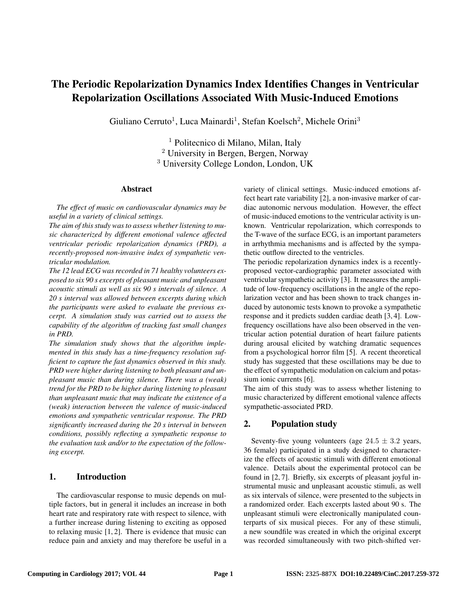# The Periodic Repolarization Dynamics Index Identifies Changes in Ventricular Repolarization Oscillations Associated With Music-Induced Emotions

Giuliano Cerruto<sup>1</sup>, Luca Mainardi<sup>1</sup>, Stefan Koelsch<sup>2</sup>, Michele Orini<sup>3</sup>

<sup>1</sup> Politecnico di Milano, Milan, Italy <sup>2</sup> University in Bergen, Bergen, Norway <sup>3</sup> University College London, London, UK

#### Abstract

*The effect of music on cardiovascular dynamics may be useful in a variety of clinical settings.*

*The aim of this study was to assess whether listening to music characterized by different emotional valence affected ventricular periodic repolarization dynamics (PRD), a recently-proposed non-invasive index of sympathetic ventricular modulation.*

*The 12 lead ECG was recorded in 71 healthy volunteers exposed to six 90 s excerpts of pleasant music and unpleasant acoustic stimuli as well as six 90 s intervals of silence. A 20 s interval was allowed between excerpts during which the participants were asked to evaluate the previous excerpt. A simulation study was carried out to assess the capability of the algorithm of tracking fast small changes in PRD.*

*The simulation study shows that the algorithm implemented in this study has a time-frequency resolution sufficient to capture the fast dynamics observed in this study. PRD were higher during listening to both pleasant and unpleasant music than during silence. There was a (weak) trend for the PRD to be higher during listening to pleasant than unpleasant music that may indicate the existence of a (weak) interaction between the valence of music-induced emotions and sympathetic ventricular response. The PRD significantly increased during the 20 s interval in between conditions, possibly reflecting a sympathetic response to the evaluation task and/or to the expectation of the following excerpt.*

# 1. Introduction

The cardiovascular response to music depends on multiple factors, but in general it includes an increase in both heart rate and respiratory rate with respect to silence, with a further increase during listening to exciting as opposed to relaxing music [1, 2]. There is evidence that music can reduce pain and anxiety and may therefore be useful in a variety of clinical settings. Music-induced emotions affect heart rate variability [2], a non-invasive marker of cardiac autonomic nervous modulation. However, the effect of music-induced emotions to the ventricular activity is unknown. Ventricular repolarization, which corresponds to the T-wave of the surface ECG, is an important parameters in arrhythmia mechanisms and is affected by the sympathetic outflow directed to the ventricles.

The periodic repolarization dynamics index is a recentlyproposed vector-cardiographic parameter associated with ventricular sympathetic activity [3]. It measures the amplitude of low-frequency oscillations in the angle of the repolarization vector and has been shown to track changes induced by autonomic tests known to provoke a sympathetic response and it predicts sudden cardiac death [3, 4]. Lowfrequency oscillations have also been observed in the ventricular action potential duration of heart failure patients during arousal elicited by watching dramatic sequences from a psychological horror film [5]. A recent theoretical study has suggested that these oscillations may be due to the effect of sympathetic modulation on calcium and potassium ionic currents [6].

The aim of this study was to assess whether listening to music characterized by different emotional valence affects sympathetic-associated PRD.

# 2. Population study

Seventy-five young volunteers (age  $24.5 \pm 3.2$  years, 36 female) participated in a study designed to characterize the effects of acoustic stimuli with different emotional valence. Details about the experimental protocol can be found in [2, 7]. Briefly, six excerpts of pleasant joyful instrumental music and unpleasant acoustic stimuli, as well as six intervals of silence, were presented to the subjects in a randomized order. Each excerpts lasted about 90 s. The unpleasant stimuli were electronically manipulated counterparts of six musical pieces. For any of these stimuli, a new soundfile was created in which the original excerpt was recorded simultaneously with two pitch-shifted ver-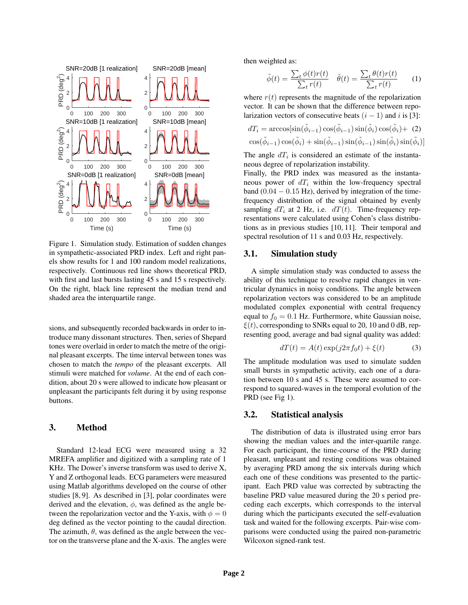

Figure 1. Simulation study. Estimation of sudden changes in sympathetic-associated PRD index. Left and right panels show results for 1 and 100 random model realizations, respectively. Continuous red line shows theoretical PRD, with first and last bursts lasting 45 s and 15 s respectively. On the right, black line represent the median trend and shaded area the interquartile range.

sions, and subsequently recorded backwards in order to introduce many dissonant structures. Then, series of Shepard tones were overlaid in order to match the metre of the original pleasant excerpts. The time interval between tones was chosen to match the *tempo* of the pleasant excerpts. All stimuli were matched for *volume*. At the end of each condition, about 20 s were allowed to indicate how pleasant or unpleasant the participants felt during it by using response buttons.

## 3. Method

Standard 12-lead ECG were measured using a 32 MREFA amplifier and digitized with a sampling rate of 1 KHz. The Dower's inverse transform was used to derive X, Y and Z orthogonal leads. ECG parameters were measured using Matlab algorithms developed on the course of other studies [8, 9]. As described in [3], polar coordinates were derived and the elevation,  $\phi$ , was defined as the angle between the repolarization vector and the Y-axis, with  $\phi = 0$ deg defined as the vector pointing to the caudal direction. The azimuth,  $\theta$ , was defined as the angle between the vector on the transverse plane and the X-axis. The angles were then weighted as:

$$
\tilde{\phi}(t) = \frac{\sum_{t} \phi(t)r(t)}{\sum_{t} r(t)} \quad \tilde{\theta}(t) = \frac{\sum_{t} \theta(t)r(t)}{\sum_{t} r(t)} \tag{1}
$$

where  $r(t)$  represents the magnitude of the repolarization vector. It can be shown that the difference between repolarization vectors of consecutive beats  $(i - 1)$  and i is [3]:

$$
dT_i = \arccos[\sin(\tilde{\phi}_{i-1})\cos(\tilde{\phi}_{i-1})\sin(\tilde{\phi}_i)\cos(\tilde{\phi}_i) + (2)
$$
  

$$
\cos(\tilde{\phi}_{i-1})\cos(\tilde{\phi}_i) + \sin(\tilde{\phi}_{i-1})\sin(\tilde{\phi}_{i-1})\sin(\tilde{\phi}_i)\sin(\tilde{\phi}_i)]
$$

The angle  $dT_i$  is considered an estimate of the instantaneous degree of repolarization instability.

Finally, the PRD index was measured as the instantaneous power of  $dT_i$  within the low-frequency spectral band  $(0.04 - 0.15 \text{ Hz})$ , derived by integration of the timefrequency distribution of the signal obtained by evenly sampling  $dT_i$  at 2 Hz, i.e.  $dT(t)$ . Time-frequency representations were calculated using Cohen's class distributions as in previous studies [10, 11]. Their temporal and spectral resolution of 11 s and 0.03 Hz, respectively.

#### 3.1. Simulation study

A simple simulation study was conducted to assess the ability of this technique to resolve rapid changes in ventricular dynamics in noisy conditions. The angle between repolarization vectors was considered to be an amplitude modulated complex exponential with central frequency equal to  $f_0 = 0.1$  Hz. Furthermore, white Gaussian noise,  $\xi(t)$ , corresponding to SNRs equal to 20, 10 and 0 dB, representing good, average and bad signal quality was added:

$$
dT(t) = A(t) \exp(j2\pi f_0 t) + \xi(t)
$$
\n(3)

The amplitude modulation was used to simulate sudden small bursts in sympathetic activity, each one of a duration between 10 s and 45 s. These were assumed to correspond to squared-waves in the temporal evolution of the PRD (see Fig 1).

#### 3.2. Statistical analysis

The distribution of data is illustrated using error bars showing the median values and the inter-quartile range. For each participant, the time-course of the PRD during pleasant, unpleasant and resting conditions was obtained by averaging PRD among the six intervals during which each one of these conditions was presented to the participant. Each PRD value was corrected by subtracting the baseline PRD value measured during the 20 s period preceding each excerpts, which corresponds to the interval during which the participants executed the self-evaluation task and waited for the following excerpts. Pair-wise comparisons were conducted using the paired non-parametric Wilcoxon signed-rank test.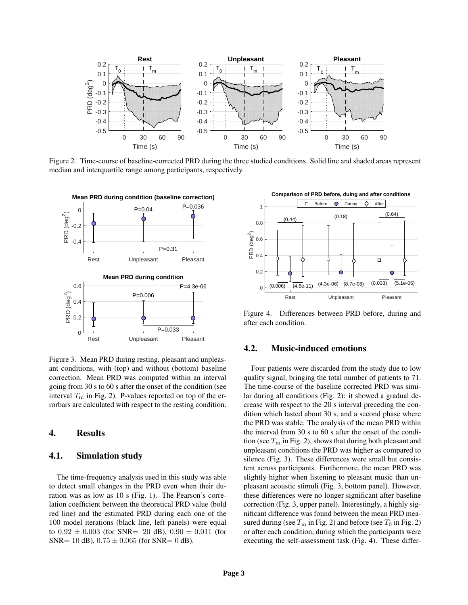

Figure 2. Time-course of baseline-corrected PRD during the three studied conditions. Solid line and shaded areas represent median and interquartile range among participants, respectively.



Figure 3. Mean PRD during resting, pleasant and unpleasant conditions, with (top) and without (bottom) baseline correction. Mean PRD was computed within an interval going from 30 s to 60 s after the onset of the condition (see interval  $T<sub>m</sub>$  in Fig. 2). P-values reported on top of the errorbars are calculated with respect to the resting condition.

# 4. Results

#### 4.1. Simulation study

The time-frequency analysis used in this study was able to detect small changes in the PRD even when their duration was as low as 10 s (Fig. 1). The Pearson's correlation coefficient between the theoretical PRD value (bold red line) and the estimated PRD during each one of the 100 model iterations (black line, left panels) were equal to  $0.92 \pm 0.003$  (for SNR= 20 dB),  $0.90 \pm 0.011$  (for SNR= 10 dB),  $0.75 \pm 0.065$  (for SNR= 0 dB).



Figure 4. Differences between PRD before, during and after each condition.

## 4.2. Music-induced emotions

Four patients were discarded from the study due to low quality signal, bringing the total number of patients to 71. The time-course of the baseline corrected PRD was similar during all conditions (Fig. 2): it showed a gradual decrease with respect to the 20 s interval preceding the condition which lasted about 30 s, and a second phase where the PRD was stable. The analysis of the mean PRD within the interval from 30 s to 60 s after the onset of the condition (see  $T<sub>m</sub>$  in Fig. 2), shows that during both pleasant and unpleasant conditions the PRD was higher as compared to silence (Fig. 3). These differences were small but consistent across participants. Furthermore, the mean PRD was slightly higher when listening to pleasant music than unpleasant acoustic stimuli (Fig. 3, bottom panel). However, these differences were no longer significant after baseline correction (Fig. 3, upper panel). Interestingly, a highly significant difference was found between the mean PRD measured during (see  $T<sub>m</sub>$  in Fig. 2) and before (see  $T<sub>0</sub>$  in Fig. 2) or after each condition, during which the participants were executing the self-assessment task (Fig. 4). These differ